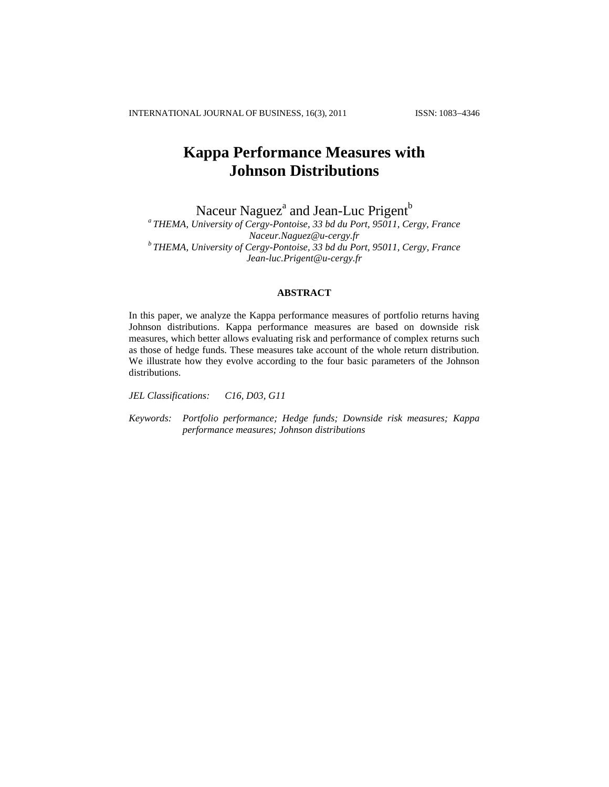INTERNATIONAL JOURNAL OF BUSINESS, 16(3), 2011 ISSN: 1083-4346

# **Kappa Performance Measures with Johnson Distributions**

Naceur Naguez $^{\rm a}$  and Jean-Luc Prigent $^{\rm b}$ 

*a THEMA, University of Cergy-Pontoise, 33 bd du Port, 95011, Cergy, France Naceur.Naguez@u-cergy.fr b THEMA, University of Cergy-Pontoise, 33 bd du Port, 95011, Cergy, France Jean-luc.Prigent@u-cergy.fr*

# **ABSTRACT**

In this paper, we analyze the Kappa performance measures of portfolio returns having Johnson distributions. Kappa performance measures are based on downside risk measures, which better allows evaluating risk and performance of complex returns such as those of hedge funds. These measures take account of the whole return distribution. We illustrate how they evolve according to the four basic parameters of the Johnson distributions.

*JEL Classifications: C16, D03, G11*

*Keywords: Portfolio performance; Hedge funds; Downside risk measures; Kappa performance measures; Johnson distributions*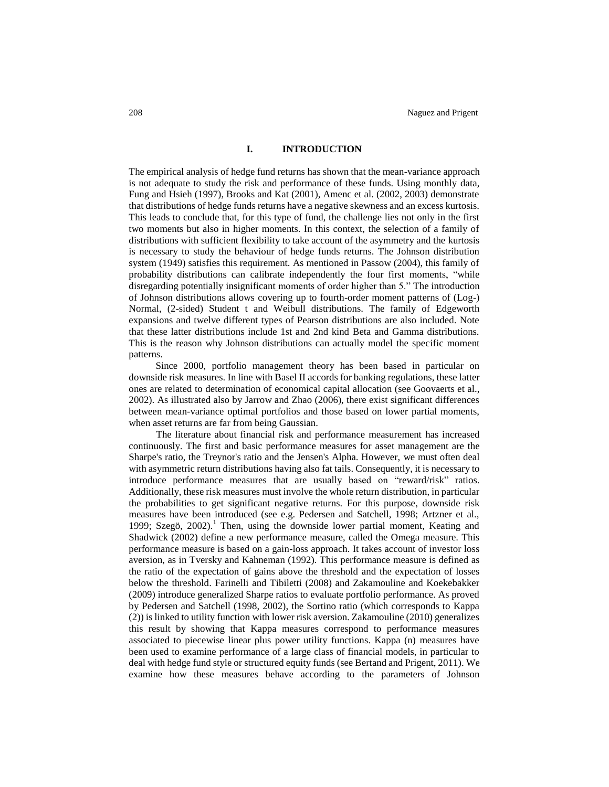# **I. INTRODUCTION**

The empirical analysis of hedge fund returns has shown that the mean-variance approach is not adequate to study the risk and performance of these funds. Using monthly data, Fung and Hsieh (1997), Brooks and Kat (2001), Amenc et al. (2002, 2003) demonstrate that distributions of hedge funds returns have a negative skewness and an excess kurtosis. This leads to conclude that, for this type of fund, the challenge lies not only in the first two moments but also in higher moments. In this context, the selection of a family of distributions with sufficient flexibility to take account of the asymmetry and the kurtosis is necessary to study the behaviour of hedge funds returns. The Johnson distribution system (1949) satisfies this requirement. As mentioned in Passow (2004), this family of probability distributions can calibrate independently the four first moments, "while disregarding potentially insignificant moments of order higher than 5." The introduction of Johnson distributions allows covering up to fourth-order moment patterns of (Log-) Normal, (2-sided) Student t and Weibull distributions. The family of Edgeworth expansions and twelve different types of Pearson distributions are also included. Note that these latter distributions include 1st and 2nd kind Beta and Gamma distributions. This is the reason why Johnson distributions can actually model the specific moment patterns.

Since 2000, portfolio management theory has been based in particular on downside risk measures. In line with Basel II accords for banking regulations, these latter ones are related to determination of economical capital allocation (see Goovaerts et al., 2002). As illustrated also by Jarrow and Zhao (2006), there exist significant differences between mean-variance optimal portfolios and those based on lower partial moments, when asset returns are far from being Gaussian.

The literature about financial risk and performance measurement has increased continuously. The first and basic performance measures for asset management are the Sharpe's ratio, the Treynor's ratio and the Jensen's Alpha. However, we must often deal with asymmetric return distributions having also fat tails. Consequently, it is necessary to introduce performance measures that are usually based on "reward/risk" ratios. Additionally, these risk measures must involve the whole return distribution, in particular the probabilities to get significant negative returns. For this purpose, downside risk measures have been introduced (see e.g. Pedersen and Satchell, 1998; Artzner et al., 1999; Szegö, 2002).<sup>1</sup> Then, using the downside lower partial moment, Keating and Shadwick (2002) define a new performance measure, called the Omega measure. This performance measure is based on a gain-loss approach. It takes account of investor loss aversion, as in Tversky and Kahneman (1992). This performance measure is defined as the ratio of the expectation of gains above the threshold and the expectation of losses below the threshold. Farinelli and Tibiletti (2008) and Zakamouline and Koekebakker (2009) introduce generalized Sharpe ratios to evaluate portfolio performance. As proved by Pedersen and Satchell (1998, 2002), the Sortino ratio (which corresponds to Kappa (2)) is linked to utility function with lower risk aversion. Zakamouline (2010) generalizes this result by showing that Kappa measures correspond to performance measures associated to piecewise linear plus power utility functions. Kappa (n) measures have been used to examine performance of a large class of financial models, in particular to deal with hedge fund style or structured equity funds (see Bertand and Prigent, 2011). We examine how these measures behave according to the parameters of Johnson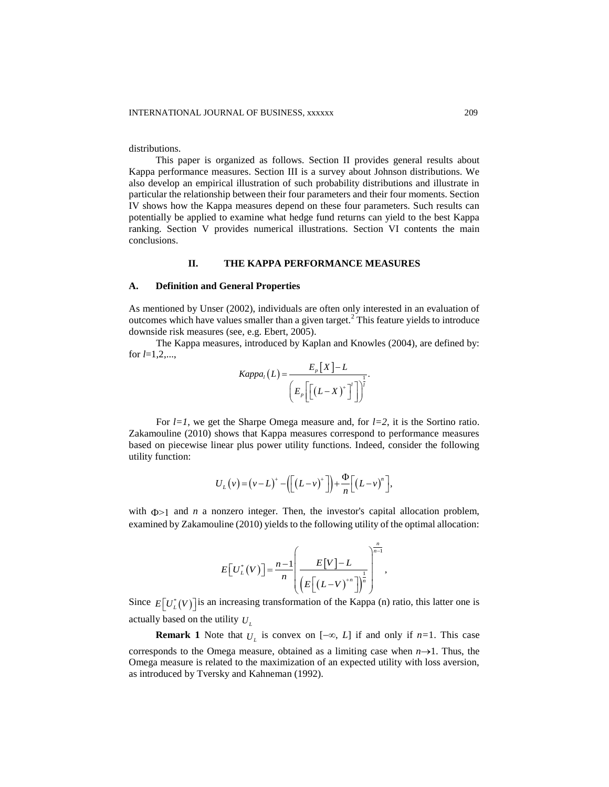distributions.

This paper is organized as follows. Section II provides general results about Kappa performance measures. Section III is a survey about Johnson distributions. We also develop an empirical illustration of such probability distributions and illustrate in particular the relationship between their four parameters and their four moments. Section IV shows how the Kappa measures depend on these four parameters. Such results can potentially be applied to examine what hedge fund returns can yield to the best Kappa ranking. Section V provides numerical illustrations. Section VI contents the main conclusions.

# **II. THE KAPPA PERFORMANCE MEASURES**

#### **A. Definition and General Properties**

As mentioned by Unser (2002), individuals are often only interested in an evaluation of outcomes which have values smaller than a given target. $<sup>2</sup>$  This feature yields to introduce</sup> downside risk measures (see, e.g. Ebert, 2005).

The Kappa measures, introduced by Kaplan and Knowles (2004), are defined by: for *l*=1,2,...,

$$
Kappa_{l}(L) = \frac{E_{p}[X] - L}{\left(E_{p}\left[\left(L-X\right)^{+}\right]'\right]^{\frac{1}{l}}}.
$$

For *l=1*, we get the Sharpe Omega measure and, for *l=2*, it is the Sortino ratio. Zakamouline (2010) shows that Kappa measures correspond to performance measures based on piecewise linear plus power utility functions. Indeed, consider the following utility function:

$$
U_L(\nu) = (\nu - L)^+ - \left( \left[ \left( L - \nu \right)^+ \right] \right) + \frac{\Phi}{n} \left[ \left( L - \nu \right)^n \right],
$$

with  $\Phi > 1$  and *n* a nonzero integer. Then, the investor's capital allocation problem, examined by Zakamouline (2010) yields to the following utility of the optimal allocation:

$$
E[U_L^*(V)] = \frac{n-1}{n} \left( \frac{E[V]-L}{\left(E\left[(L-V)^{n}\right]\right)^{\frac{1}{n}}}\right)^{\frac{n}{n-1}},
$$

,

Since  $E[U_L^*(V)]$  is an increasing transformation of the Kappa (n) ratio, this latter one is actually based on the utility *U<sup>L</sup>*

**Remark 1** Note that  $U_L$  is convex on  $[-\infty, L]$  if and only if  $n=1$ . This case corresponds to the Omega measure, obtained as a limiting case when  $n\rightarrow 1$ . Thus, the Omega measure is related to the maximization of an expected utility with loss aversion, as introduced by Tversky and Kahneman (1992).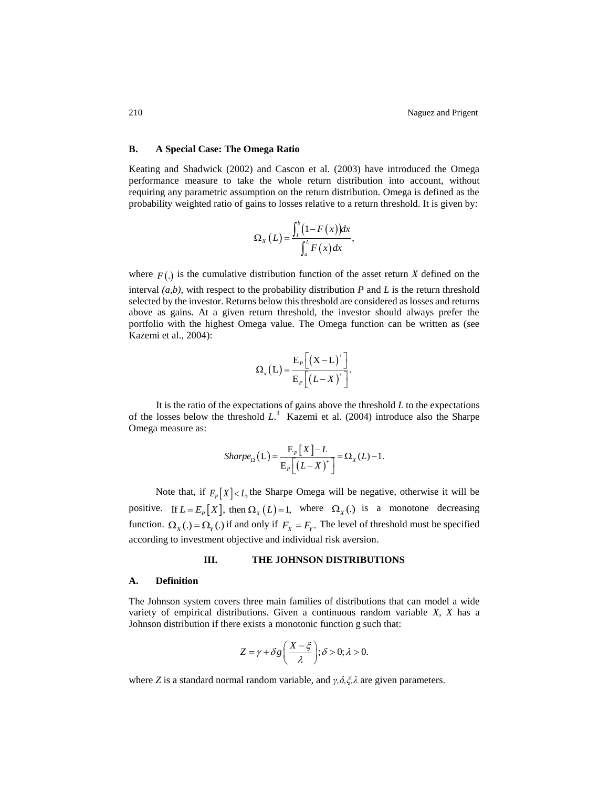## **B. A Special Case: The Omega Ratio**

Keating and Shadwick (2002) and Cascon et al. (2003) have introduced the Omega performance measure to take the whole return distribution into account, without requiring any parametric assumption on the return distribution. Omega is defined as the probability weighted ratio of gains to losses relative to a return threshold. It is given by:

$$
\Omega_{X}\left(L\right) = \frac{\int_{L}^{b}\left(1-F\left(x\right)\right)dx}{\int_{a}^{L}F\left(x\right)dx},
$$

where  $F(.)$  is the cumulative distribution function of the asset return *X* defined on the interval *(a,b)*, with respect to the probability distribution *P* and *L* is the return threshold selected by the investor. Returns below this threshold are considered as losses and returns above as gains. At a given return threshold, the investor should always prefer the portfolio with the highest Omega value. The Omega function can be written as (see Kazemi et al., 2004):

$$
\Omega_{x}(L) = \frac{E_{P}\left[\left(X-L\right)^{+}\right]}{E_{P}\left[\left(L-X\right)^{+}\right]}.
$$

It is the ratio of the expectations of gains above the threshold  $L$  to the expectations of the losses below the threshold *L*. 3 Kazemi et al. (2004) introduce also the Sharpe Omega measure as:

$$
Sharpe_{\Omega}(L) = \frac{E_{P}[X] - L}{E_{P}[(L - X)^{+}]} = \Omega_{X}(L) - 1.
$$

Note that, if  $E_p[X] < L$ , the Sharpe Omega will be negative, otherwise it will be positive. If  $L = E_p[X]$ , then  $\Omega_X(L) = 1$ , where  $\Omega_X(A)$  is a monotone decreasing function.  $\Omega_X(.) = \Omega_Y(.)$  if and only if  $F_X = F_Y$ . The level of threshold must be specified according to investment objective and individual risk aversion.

#### **III. THE JOHNSON DISTRIBUTIONS**

#### **A. Definition**

The Johnson system covers three main families of distributions that can model a wide variety of empirical distributions. Given a continuous random variable *X, X* has a Johnson distribution if there exists a monotonic function g such that:

$$
Z = \gamma + \delta g \left( \frac{X - \xi}{\lambda} \right); \delta > 0; \lambda > 0.
$$

where *Z* is a standard normal random variable, and *γ,δ,ξ,λ* are given parameters.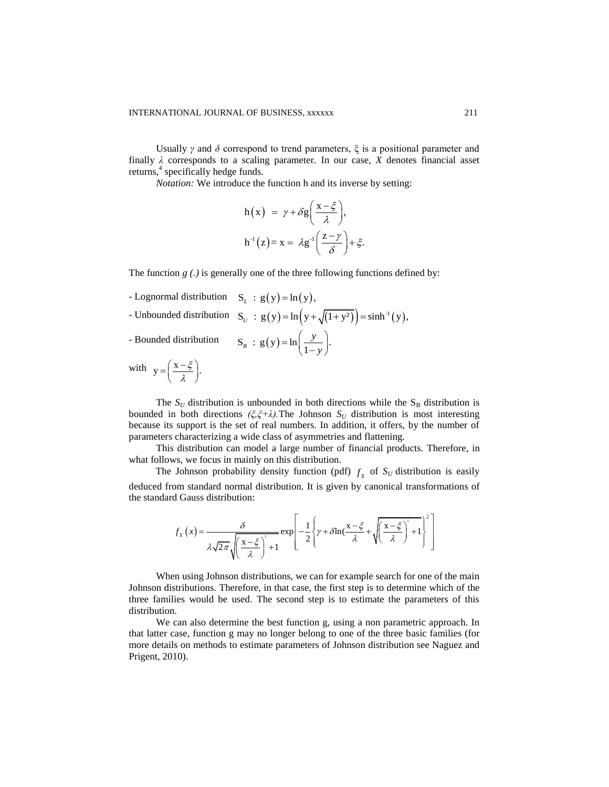Usually *γ* and  $\delta$  correspond to trend parameters,  $\xi$  is a positional parameter and finally  $\lambda$  corresponds to a scaling parameter. In our case,  $X$  denotes financial asset returns,<sup>4</sup> specifically hedge funds.

*Notation:* We introduce the function h and its inverse by setting:

$$
h(x) = \gamma + \delta g \left( \frac{x - \xi}{\lambda} \right),
$$
  

$$
h^{-1}(z) = x = \lambda g^{-1} \left( \frac{z - \gamma}{\delta} \right) + \xi.
$$

The function  $g(.)$  is generally one of the three following functions defined by:

- Lognormal distribution  $S_L : g(y) = ln(y)$ ,
- Lognormal distribution  $S_L : g(y) = \ln(y)$ ,<br>- Unbounded distribution  $S_U : g(y) = \ln(y + \sqrt{(1 + y^2)}) = \sinh^{-1}(y)$ ,

- Bounded distribution

$$
S_{U} : g(y) = \ln(y + \sqrt{1 + y}) = \sin y
$$
  

$$
S_{B} : g(y) = \ln(\frac{y}{1 - y}).
$$

with  $y = \left(\frac{x-\xi}{\xi}\right)$ . λ  $=\left(\frac{x-\xi}{\lambda}\right).$ 

The  $S_U$  distribution is unbounded in both directions while the  $S_B$  distribution is bounded in both directions  $(\xi, \xi + \lambda)$ . The Johnson  $S_U$  distribution is most interesting because its support is the set of real numbers. In addition, it offers, by the number of parameters characterizing a wide class of asymmetries and flattening.

This distribution can model a large number of financial products. Therefore, in what follows, we focus in mainly on this distribution.

The Johnson probability density function (pdf)  $f_x$  of  $S_U$  distribution is easily deduced from standard normal distribution. It is given by canonical transformations of<br>the standard Gauss distribution:<br> $f_x(x) = \frac{\delta}{\sqrt{2\pi} \sin^2{x}} \exp\left[-\frac{1}{2}\left(\gamma + \delta \ln(\frac{x-\xi}{\lambda}) + \sqrt{\left(\frac{x-\xi}{\lambda}\right)^2 + 1}\right)^2\right]$ the standard Gauss distribution:

1 Gauss distribution:  
\n
$$
f_X(x) = \frac{\delta}{\lambda \sqrt{2\pi} \sqrt{\left(\frac{x-\xi}{\lambda}\right)^2 + 1}} \exp\left[-\frac{1}{2}\left\{\gamma + \delta \ln\left(\frac{x-\xi}{\lambda} + \sqrt{\left(\frac{x-\xi}{\lambda}\right)^2 + 1}\right)^2\right\}\right]
$$

When using Johnson distributions, we can for example search for one of the main Johnson distributions. Therefore, in that case, the first step is to determine which of the three families would be used. The second step is to estimate the parameters of this distribution.

We can also determine the best function g, using a non parametric approach. In that latter case, function g may no longer belong to one of the three basic families (for more details on methods to estimate parameters of Johnson distribution see Naguez and Prigent, 2010).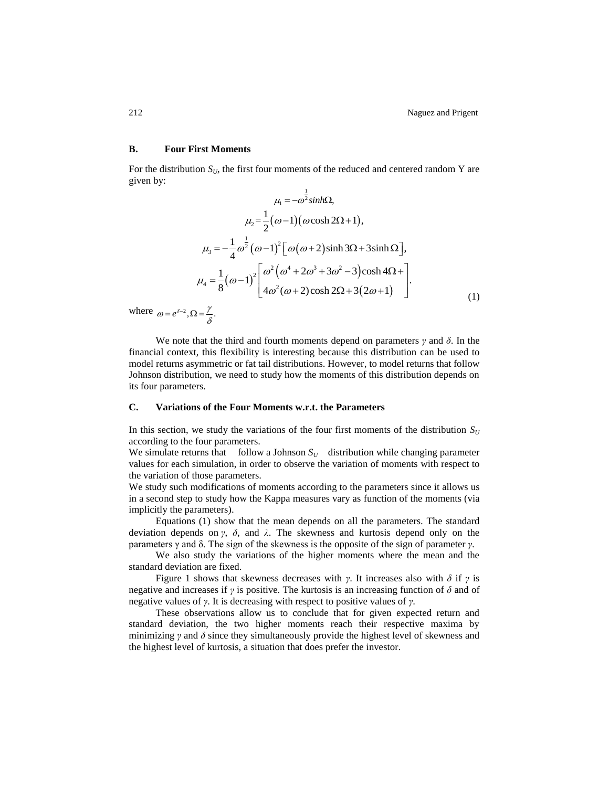# **B. Four First Moments**

For the distribution  $S_U$ , the first four moments of the reduced and centered random Y are given by: 1

$$
\mu_1 = -\omega^2 \sinh\Omega,
$$
  
\n
$$
\mu_2 = \frac{1}{2}(\omega - 1)(\omega \cosh 2\Omega + 1),
$$
  
\n
$$
\mu_3 = -\frac{1}{4}\omega^{\frac{1}{2}}(\omega - 1)^2 [\omega(\omega + 2)\sinh 3\Omega + 3\sinh \Omega],
$$
  
\n
$$
\mu_4 = \frac{1}{8}(\omega - 1)^2 \left[\frac{\omega^2(\omega^4 + 2\omega^3 + 3\omega^2 - 3)\cosh 4\Omega + 1}{4\omega^2(\omega + 2)\cosh 2\Omega + 3(2\omega + 1)}\right].
$$
  
\n(1)

where  $\omega = e^{\delta - 2}$ ,  $\Omega = \frac{\gamma}{\delta}$ .

We note that the third and fourth moments depend on parameters *γ* and *δ*. In the financial context, this flexibility is interesting because this distribution can be used to model returns asymmetric or fat tail distributions. However, to model returns that follow Johnson distribution, we need to study how the moments of this distribution depends on its four parameters.

#### **C. Variations of the Four Moments w.r.t. the Parameters**

In this section, we study the variations of the four first moments of the distribution  $S_U$ according to the four parameters.

We simulate returns that follow a Johnson  $S_U$  distribution while changing parameter values for each simulation, in order to observe the variation of moments with respect to the variation of those parameters.

We study such modifications of moments according to the parameters since it allows us in a second step to study how the Kappa measures vary as function of the moments (via implicitly the parameters).

Equations (1) show that the mean depends on all the parameters. The standard deviation depends on *γ*, *δ*, and *λ*. The skewness and kurtosis depend only on the parameters γ and δ. The sign of the skewness is the opposite of the sign of parameter *γ*.

We also study the variations of the higher moments where the mean and the standard deviation are fixed.

Figure 1 shows that skewness decreases with *γ*. It increases also with  $\delta$  if *γ* is negative and increases if  $\gamma$  is positive. The kurtosis is an increasing function of  $\delta$  and of negative values of *γ*. It is decreasing with respect to positive values of *γ*.

These observations allow us to conclude that for given expected return and standard deviation, the two higher moments reach their respective maxima by minimizing  $\gamma$  and  $\delta$  since they simultaneously provide the highest level of skewness and the highest level of kurtosis, a situation that does prefer the investor.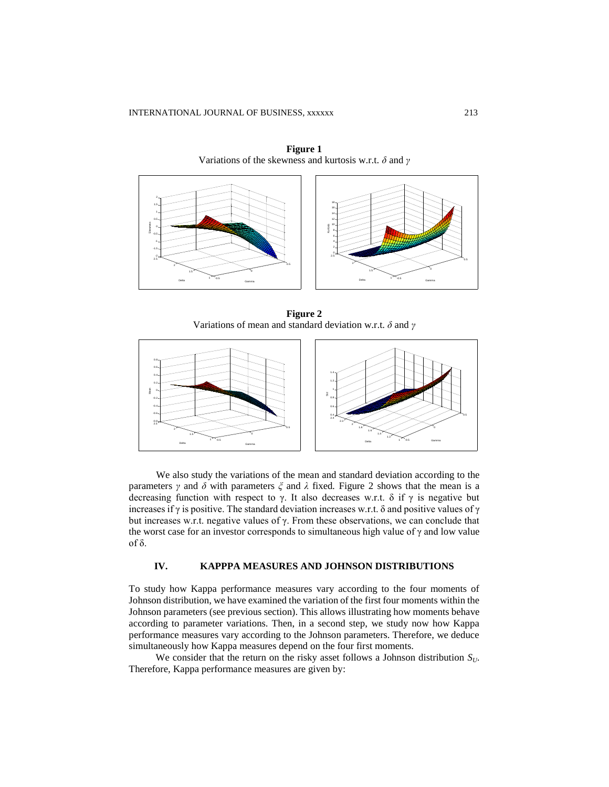

**Figure 1** Variations of the skewness and kurtosis w.r.t. *δ* and *γ*

**Figure 2** Variations of mean and standard deviation w.r.t. *δ* and *γ*



We also study the variations of the mean and standard deviation according to the parameters *γ* and *δ* with parameters *ξ* and *λ* fixed*.* Figure 2 shows that the mean is a decreasing function with respect to  $\gamma$ . It also decreases w.r.t. δ if  $\gamma$  is negative but increases if  $\gamma$  is positive. The standard deviation increases w.r.t. δ and positive values of  $\gamma$ but increases w.r.t. negative values of γ. From these observations, we can conclude that the worst case for an investor corresponds to simultaneous high value of  $\gamma$  and low value of δ.

# **IV. KAPPPA MEASURES AND JOHNSON DISTRIBUTIONS**

To study how Kappa performance measures vary according to the four moments of Johnson distribution, we have examined the variation of the first four moments within the Johnson parameters (see previous section). This allows illustrating how moments behave according to parameter variations. Then, in a second step, we study now how Kappa performance measures vary according to the Johnson parameters. Therefore, we deduce simultaneously how Kappa measures depend on the four first moments.

We consider that the return on the risky asset follows a Johnson distribution  $S_{U}$ . Therefore, Kappa performance measures are given by: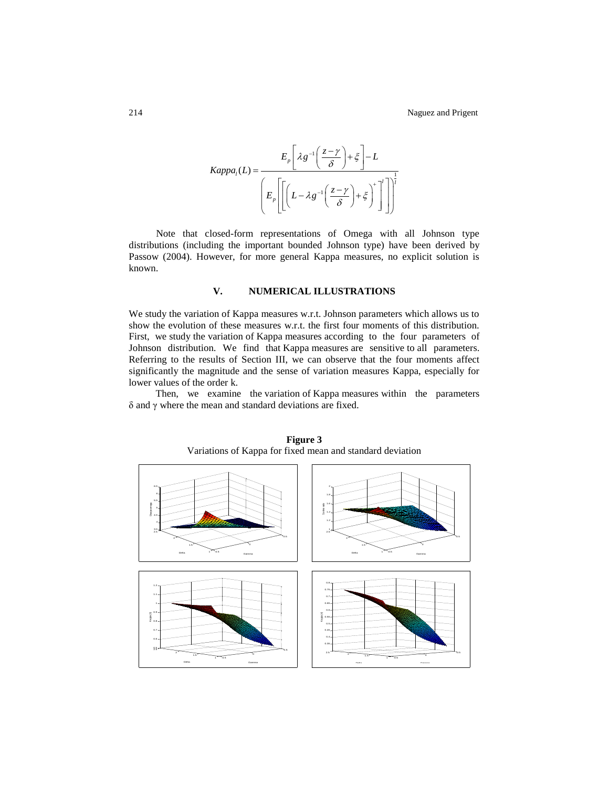$$
Kappa_{1}(L) = \frac{E_{p}\left[\lambda g^{-1}\left(\frac{z-\gamma}{\delta}\right)+\xi\right]-L}{\left(E_{p}\left[\left(L-\lambda g^{-1}\left(\frac{z-\gamma}{\delta}\right)+\xi\right)^{+}\right]\right)^{\frac{1}{l}}}
$$

Note that closed-form representations of Omega with all Johnson type distributions (including the important bounded Johnson type) have been derived by Passow (2004). However, for more general Kappa measures, no explicit solution is known.

## **V. NUMERICAL ILLUSTRATIONS**

We study the variation of Kappa measures w.r.t. Johnson parameters which allows us to show the evolution of these measures w.r.t. the first four moments of this distribution. First, we study the variation of Kappa measures according to the four parameters of Johnson distribution. We find that Kappa measures are sensitive to all parameters. Referring to the results of Section III, we can observe that the four moments affect significantly the magnitude and the sense of variation measures Kappa, especially for lower values of the order k.

Then, we examine the variation of Kappa measures within the parameters δ and γ where the mean and standard deviations are fixed.



**Figure 3** Variations of Kappa for fixed mean and standard deviation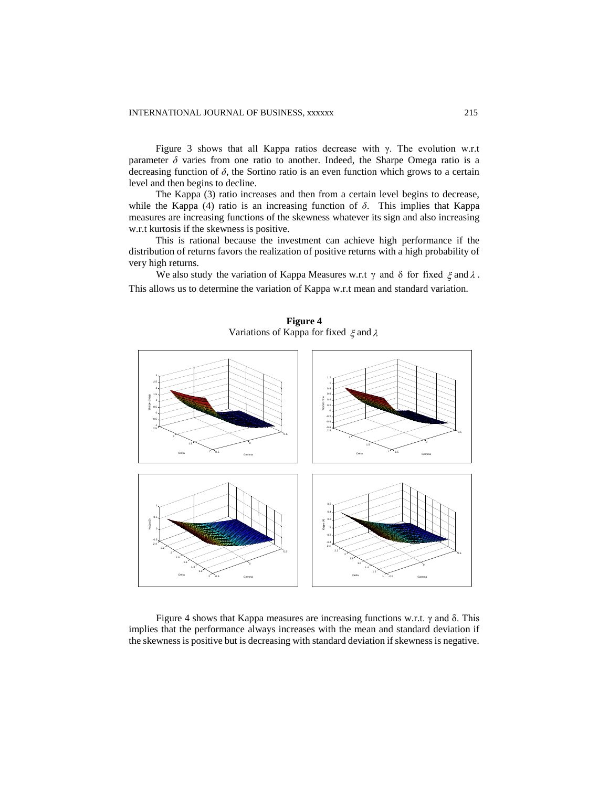Figure 3 shows that all Kappa ratios decrease with  $\gamma$ . The evolution w.r.t parameter  $\delta$  varies from one ratio to another. Indeed, the Sharpe Omega ratio is a decreasing function of *δ*, the Sortino ratio is an even function which grows to a certain level and then begins to decline.

The Kappa (3) ratio increases and then from a certain level begins to decrease, while the Kappa (4) ratio is an increasing function of  $\delta$ . This implies that Kappa measures are increasing functions of the skewness whatever its sign and also increasing w.r.t kurtosis if the skewness is positive.

This is rational because the investment can achieve high performance if the distribution of returns favors the realization of positive returns with a high probability of very high returns.

We also study the variation of Kappa Measures w.r.t  $\gamma$  and  $\delta$  for fixed  $\xi$  and  $\lambda$ . This allows us to determine the variation of Kappa w.r.t mean and standard variation.



**Figure 4** Variations of Kappa for fixed  $\xi$  and  $\lambda$ 

Figure 4 shows that Kappa measures are increasing functions w.r.t. γ and δ. This implies that the performance always increases with the mean and standard deviation if the skewness is positive but is decreasing with standard deviation if skewness is negative.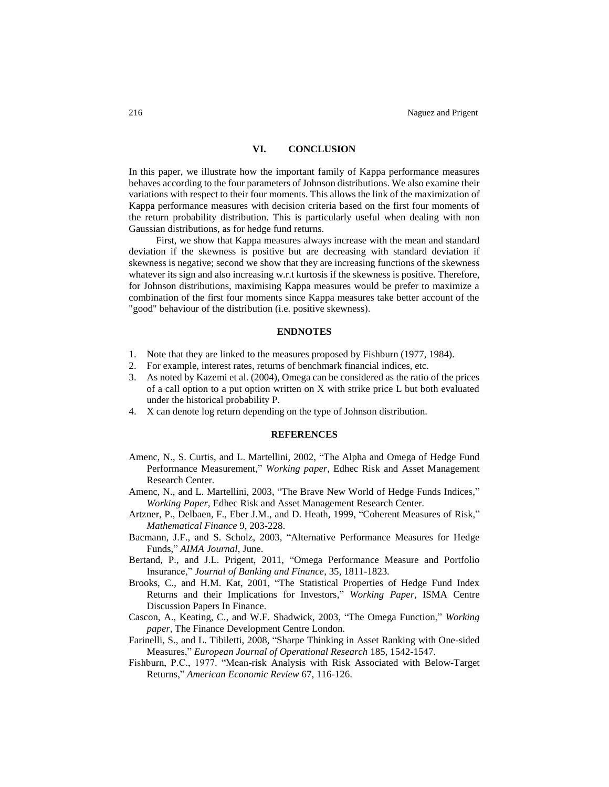# **VI. CONCLUSION**

In this paper, we illustrate how the important family of Kappa performance measures behaves according to the four parameters of Johnson distributions. We also examine their variations with respect to their four moments. This allows the link of the maximization of Kappa performance measures with decision criteria based on the first four moments of the return probability distribution. This is particularly useful when dealing with non Gaussian distributions, as for hedge fund returns.

First, we show that Kappa measures always increase with the mean and standard deviation if the skewness is positive but are decreasing with standard deviation if skewness is negative; second we show that they are increasing functions of the skewness whatever its sign and also increasing w.r.t kurtosis if the skewness is positive. Therefore, for Johnson distributions, maximising Kappa measures would be prefer to maximize a combination of the first four moments since Kappa measures take better account of the "good" behaviour of the distribution (i.e. positive skewness).

#### **ENDNOTES**

- 1. Note that they are linked to the measures proposed by Fishburn (1977, 1984).
- 2. For example, interest rates, returns of benchmark financial indices, etc.
- 3. As noted by Kazemi et al. (2004), Omega can be considered as the ratio of the prices of a call option to a put option written on X with strike price L but both evaluated under the historical probability P.
- 4. X can denote log return depending on the type of Johnson distribution.

#### **REFERENCES**

- Amenc, N., S. Curtis, and L. Martellini, 2002, "The Alpha and Omega of Hedge Fund Performance Measurement," *Working paper,* Edhec Risk and Asset Management Research Center*.*
- Amenc, N., and L. Martellini, 2003, "The Brave New World of Hedge Funds Indices," *Working Paper,* Edhec Risk and Asset Management Research Center*.*
- Artzner, P., Delbaen, F., Eber J.M., and D. Heath, 1999, "Coherent Measures of Risk," *Mathematical Finance* 9, 203-228.
- Bacmann, J.F., and S. Scholz, 2003, "Alternative Performance Measures for Hedge Funds," *AIMA Journal*, June.
- Bertand, P., and J.L. Prigent, 2011, "Omega Performance Measure and Portfolio Insurance," *Journal of Banking and Finance*, 35, 1811-1823.
- Brooks, C., and H.M. Kat, 2001, "The Statistical Properties of Hedge Fund Index Returns and their Implications for Investors," *Working Paper,* ISMA Centre Discussion Papers In Finance*.*
- Cascon, A., Keating, C., and W.F. Shadwick, 2003, "The Omega Function," *Working paper,* The Finance Development Centre London*.*
- Farinelli, S., and L. Tibiletti, 2008, "Sharpe Thinking in Asset Ranking with One-sided Measures," *European Journal of Operational Research* 185, 1542-1547.
- Fishburn, P.C., 1977. "Mean-risk Analysis with Risk Associated with Below-Target Returns," *American Economic Review* 67, 116-126.